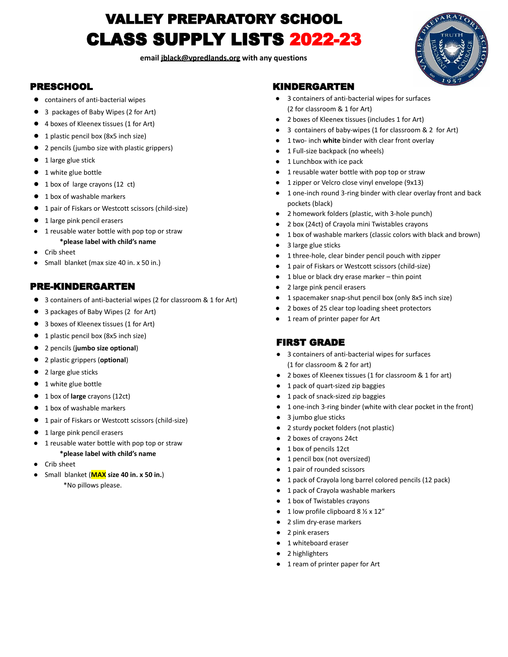# VALLEY PREPARATORY SCHOOL CLASS SUPPLY LISTS 2022-23

**email [jblack@vpredlands.org](mailto:jblack@vpredlands.org) with any questions**



### PRESCHOOL

- **●** containers of anti-bacterial wipes
- **●** 3 packages of Baby Wipes (2 for Art)
- **●** 4 boxes of Kleenex tissues (1 for Art)
- **●** 1 plastic pencil box (8x5 inch size)
- **●** 2 pencils (jumbo size with plastic grippers)
- **●** 1 large glue stick
- **●** 1 white glue bottle
- **●** 1 box of large crayons (12 ct)
- **●** 1 box of washable markers
- **●** 1 pair of Fiskars or Westcott scissors (child-size)
- **●** 1 large pink pencil erasers
	- 1 reusable water bottle with pop top or straw
		- **\*please label with child's name**
- Crib sheet
- Small blanket (max size 40 in. x 50 in.)

#### PRE-KINDERGARTEN

- **●** 3 containers of anti-bacterial wipes (2 for classroom & 1 for Art)
- **●** 3 packages of Baby Wipes (2 for Art)
- **●** 3 boxes of Kleenex tissues (1 for Art)
- **●** 1 plastic pencil box (8x5 inch size)
- **●** 2 pencils (**jumbo size optional**)
- **●** 2 plastic grippers (**optional**)
- **●** 2 large glue sticks
- **●** 1 white glue bottle
- **●** 1 box of **large** crayons (12ct)
- **●** 1 box of washable markers
- **●** 1 pair of Fiskars or Westcott scissors (child-size)
- **●** 1 large pink pencil erasers
- 1 reusable water bottle with pop top or straw **\*please label with child's name**
- Crib sheet
- Small blanket (**MAX size 40 in. x 50 in.**) \*No pillows please.

#### KINDERGARTEN

- 3 containers of anti-bacterial wipes for surfaces (2 for classroom & 1 for Art)
- 2 boxes of Kleenex tissues (includes 1 for Art)
- 3 containers of baby-wipes (1 for classroom & 2 for Art)
- 1 two- inch white binder with clear front overlay
- 1 Full-size backpack (no wheels)
- 1 Lunchbox with ice pack
- 1 reusable water bottle with pop top or straw
- 1 zipper or Velcro close vinyl envelope (9x13)
- 1 one-inch round 3-ring binder with clear overlay front and back pockets (black)
- 2 homework folders (plastic, with 3-hole punch)
- 2 box (24ct) of Crayola mini Twistables crayons
- 1 box of washable markers (classic colors with black and brown)
- 3 large glue sticks
- 1 three-hole, clear binder pencil pouch with zipper
- 1 pair of Fiskars or Westcott scissors (child-size)
- $1$  blue or black dry erase marker thin point
- 2 large pink pencil erasers
- 1 spacemaker snap-shut pencil box (only 8x5 inch size)
- 2 boxes of 25 clear top loading sheet protectors
- 1 ream of printer paper for Art

#### FIRST GRADE

- 3 containers of anti-bacterial wipes for surfaces (1 for classroom & 2 for art)
- 2 boxes of Kleenex tissues (1 for classroom & 1 for art)
- 1 pack of quart-sized zip baggies
- 1 pack of snack-sized zip baggies
- 1 one-inch 3-ring binder (white with clear pocket in the front)
- 3 jumbo glue sticks
- 2 sturdy pocket folders (not plastic)
- 2 boxes of crayons 24ct
- 1 box of pencils 12ct
- 1 pencil box (not oversized)
- 1 pair of rounded scissors
- 1 pack of Crayola long barrel colored pencils (12 pack)
- 1 pack of Crayola washable markers
- 1 box of Twistables crayons
- $\bullet$  1 low profile clipboard 8  $\frac{1}{2}$  x 12"
- 2 slim dry-erase markers
- 2 pink erasers
- 1 whiteboard eraser
- 2 highlighters
- 1 ream of printer paper for Art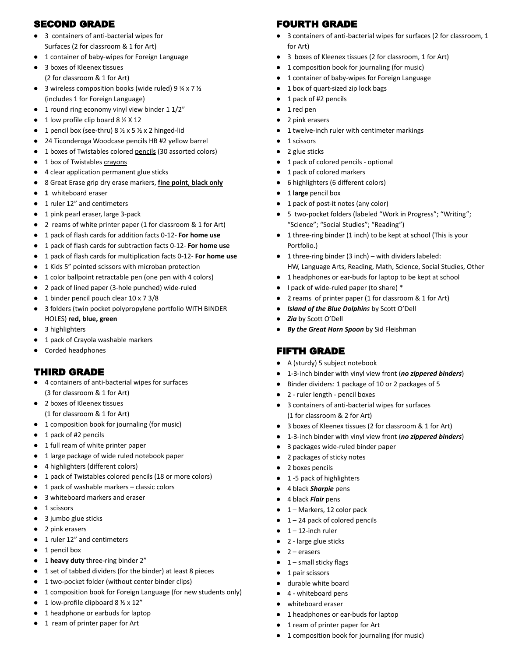## SECOND GRADE

- 3 containers of anti-bacterial wipes for Surfaces (2 for classroom & 1 for Art)
- 1 container of baby-wipes for Foreign Language
- 3 boxes of Kleenex tissues (2 for classroom & 1 for Art)
- 3 wireless composition books (wide ruled) 9 ¾ x 7 ½ (includes 1 for Foreign Language)
- 1 round ring economy vinyl view binder 1 1/2"
- $\bullet$  1 low profile clip board 8  $\frac{1}{2}$  X 12
- 1 pencil box (see-thru)  $8 \frac{1}{2} \times 5 \frac{1}{2} \times 2$  hinged-lid
- 24 Ticonderoga Woodcase pencils HB #2 yellow barrel
- 1 boxes of Twistables colored pencils (30 assorted colors)
- 1 box of Twistables crayons
- 4 clear application permanent glue sticks
- 8 Great Erase grip dry erase markers, **fine point**, **black only**
- **● 1** whiteboard eraser
- 1 ruler 12" and centimeters
- 1 pink pearl eraser, large 3-pack
- 2 reams of white printer paper (1 for classroom & 1 for Art)
- 1 pack of flash cards for addition facts 0-12- **For home use**
- 1 pack of flash cards for subtraction facts 0-12- **For home use**
- 1 pack of flash cards for multiplication facts 0-12- **For home use**
- 1 Kids 5" pointed scissors with microban protection
- 1 color ballpoint retractable pen (one pen with 4 colors)
- 2 pack of lined paper (3-hole punched) wide-ruled
- 1 binder pencil pouch clear 10 x 7 3/8
- 3 folders (twin pocket polypropylene portfolio WITH BINDER HOLES) **red, blue, green**
- 3 highlighters
- 1 pack of Crayola washable markers
- Corded headphones

## THIRD GRADE

- 4 containers of anti-bacterial wipes for surfaces (3 for classroom & 1 for Art)
- 2 boxes of Kleenex tissues (1 for classroom & 1 for Art)
- 1 composition book for journaling (for music)
- 1 pack of #2 pencils
- 1 full ream of white printer paper
- 1 large package of wide ruled notebook paper
- 4 highlighters (different colors)
- 1 pack of Twistables colored pencils (18 or more colors)
- 1 pack of washable markers classic colors
- 3 whiteboard markers and eraser
- 1 scissors
- 3 jumbo glue sticks
- 2 pink erasers
- 1 ruler 12" and centimeters
- 1 pencil box
- 1 **heavy duty** three-ring binder 2"
- 1 set of tabbed dividers (for the binder) at least 8 pieces
- 1 two-pocket folder (without center binder clips)
- 1 composition book for Foreign Language (for new students only)
- $\bullet$  1 low-profile clipboard 8  $\frac{1}{2} \times 12''$
- 1 headphone or earbuds for laptop
- 1 ream of printer paper for Art

# FOURTH GRADE

- 3 containers of anti-bacterial wipes for surfaces (2 for classroom, 1 for Art)
- 3 boxes of Kleenex tissues (2 for classroom, 1 for Art)
- 1 composition book for journaling (for music)
- 1 container of baby-wipes for Foreign Language
- 1 box of quart-sized zip lock bags
- 1 pack of #2 pencils
- 1 red pen
- 2 pink erasers
- 1 twelve-inch ruler with centimeter markings
- 1 scissors
- 2 glue sticks
- 1 pack of colored pencils optional
- 1 pack of colored markers
- 6 highlighters (6 different colors)
- 1 **large** pencil box
- 1 pack of post-it notes (any color)
- 5 two-pocket folders (labeled "Work in Progress"; "Writing"; "Science"; "Social Studies"; "Reading")
- 1 three-ring binder (1 inch) to be kept at school (This is your Portfolio.)
- 1 three-ring binder (3 inch) with dividers labeled: HW, Language Arts, Reading, Math, Science, Social Studies, Other
- 1 headphones or ear-buds for laptop to be kept at school
- I pack of wide-ruled paper (to share) \*
- 2 reams of printer paper (1 for classroom & 1 for Art)
- **Island of the Blue Dolphins** by Scott O'Dell
- Zia by Scott O'Dell
- *By the Great Horn Spoon* by Sid Fleishman

# FIFTH GRADE

- A (sturdy) 5 subject notebook
- 1-3-inch binder with vinyl view front (*no zippered binders*)
- Binder dividers: 1 package of 10 or 2 packages of 5
- 2 ruler length pencil boxes
- 3 containers of anti-bacterial wipes for surfaces (1 for classroom & 2 for Art)
- 3 boxes of Kleenex tissues (2 for classroom & 1 for Art)
- 1-3-inch binder with vinyl view front (*no zippered binders*)
- 3 packages wide-ruled binder paper
- 2 packages of sticky notes
- 2 boxes pencils
- 1 -5 pack of highlighters
- 4 black *Sharpie* pens
- 4 black *Flair* pens
- 1 Markers, 12 color pack
- $\bullet$  1 24 pack of colored pencils

● 1 headphones or ear-buds for laptop ● 1 ream of printer paper for Art

● 1 composition book for journaling (for music)

- $\bullet$  1 12-inch ruler
- 2 large glue sticks
- $2$  erasers
- 1 small sticky flags
- 1 pair scissors
- durable white board
- 4 whiteboard pens whiteboard eraser